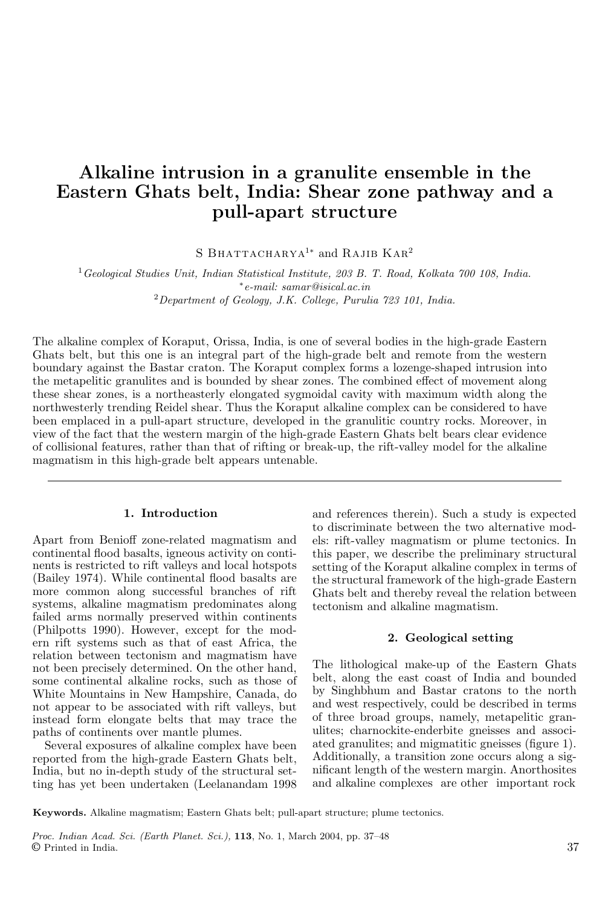# Alkaline intrusion in a granulite ensemble in the Eastern Ghats belt, India: Shear zone pathway and a pull-apart structure

S BHATTACHARYA<sup>1∗</sup> and RAJIB  $KAR<sup>2</sup>$ 

<sup>1</sup>*Geological Studies Unit, Indian Statistical Institute, 203 B. T. Road, Kolkata 700 108, India.* ∗ *e-mail: samar@isical.ac.in* <sup>2</sup>*Department of Geology, J.K. College, Purulia 723 101, India.*

The alkaline complex of Koraput, Orissa, India, is one of several bodies in the high-grade Eastern Ghats belt, but this one is an integral part of the high-grade belt and remote from the western boundary against the Bastar craton. The Koraput complex forms a lozenge-shaped intrusion into the metapelitic granulites and is bounded by shear zones. The combined effect of movement along these shear zones, is a northeasterly elongated sygmoidal cavity with maximum width along the northwesterly trending Reidel shear. Thus the Koraput alkaline complex can be considered to have been emplaced in a pull-apart structure, developed in the granulitic country rocks. Moreover, in view of the fact that the western margin of the high-grade Eastern Ghats belt bears clear evidence of collisional features, rather than that of rifting or break-up, the rift-valley model for the alkaline magmatism in this high-grade belt appears untenable.

## 1. Introduction

Apart from Benioff zone-related magmatism and continental flood basalts, igneous activity on continents is restricted to rift valleys and local hotspots (Bailey 1974). While continental flood basalts are more common along successful branches of rift systems, alkaline magmatism predominates along failed arms normally preserved within continents (Philpotts 1990). However, except for the modern rift systems such as that of east Africa, the relation between tectonism and magmatism have not been precisely determined. On the other hand, some continental alkaline rocks, such as those of White Mountains in New Hampshire, Canada, do not appear to be associated with rift valleys, but instead form elongate belts that may trace the paths of continents over mantle plumes.

Several exposures of alkaline complex have been reported from the high-grade Eastern Ghats belt, India, but no in-depth study of the structural setting has yet been undertaken (Leelanandam 1998

and references therein). Such a study is expected to discriminate between the two alternative models: rift-valley magmatism or plume tectonics. In this paper, we describe the preliminary structural setting of the Koraput alkaline complex in terms of the structural framework of the high-grade Eastern Ghats belt and thereby reveal the relation between tectonism and alkaline magmatism.

### 2. Geological setting

The lithological make-up of the Eastern Ghats belt, along the east coast of India and bounded by Singhbhum and Bastar cratons to the north and west respectively, could be described in terms of three broad groups, namely, metapelitic granulites; charnockite-enderbite gneisses and associated granulites; and migmatitic gneisses (figure 1). Additionally, a transition zone occurs along a significant length of the western margin. Anorthosites and alkaline complexes are other important rock

Keywords. Alkaline magmatism; Eastern Ghats belt; pull-apart structure; plume tectonics.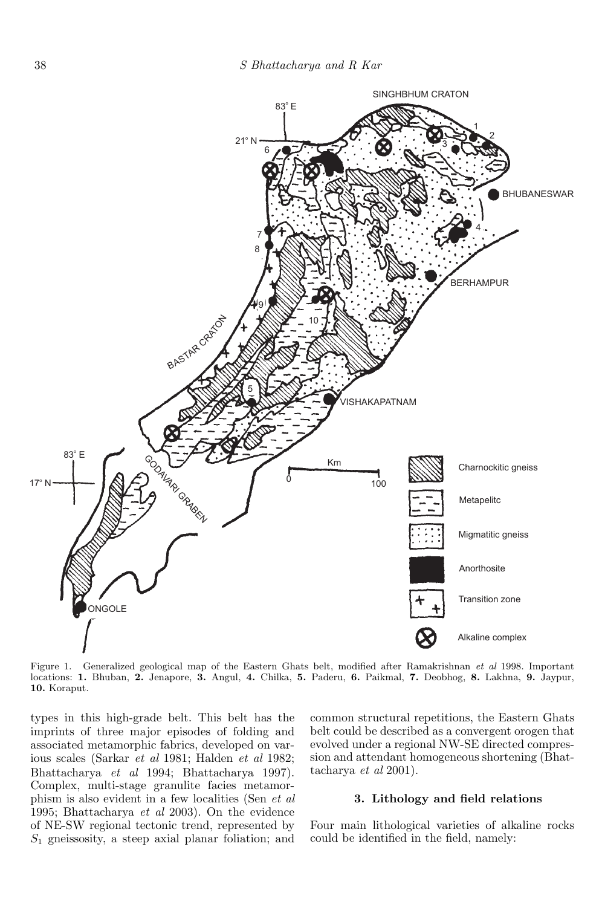

Figure 1. Generalized geological map of the Eastern Ghats belt, modified after Ramakrishnan et al 1998. Important locations: 1. Bhuban, 2. Jenapore, 3. Angul, 4. Chilka, 5. Paderu, 6. Paikmal, 7. Deobhog, 8. Lakhna, 9. Jaypur, 10. Koraput.

types in this high-grade belt. This belt has the imprints of three major episodes of folding and associated metamorphic fabrics, developed on various scales (Sarkar *et al* 1981; Halden *et al* 1982; Bhattacharya *et al* 1994; Bhattacharya 1997). Complex, multi-stage granulite facies metamorphism is also evident in a few localities (Sen *et al* 1995; Bhattacharya *et al* 2003). On the evidence of NE-SW regional tectonic trend, represented by  $S_1$  gneissosity, a steep axial planar foliation; and

common structural repetitions, the Eastern Ghats belt could be described as a convergent orogen that evolved under a regional NW-SE directed compression and attendant homogeneous shortening (Bhattacharya *et al* 2001).

## 3. Lithology and field relations

Four main lithological varieties of alkaline rocks could be identified in the field, namely: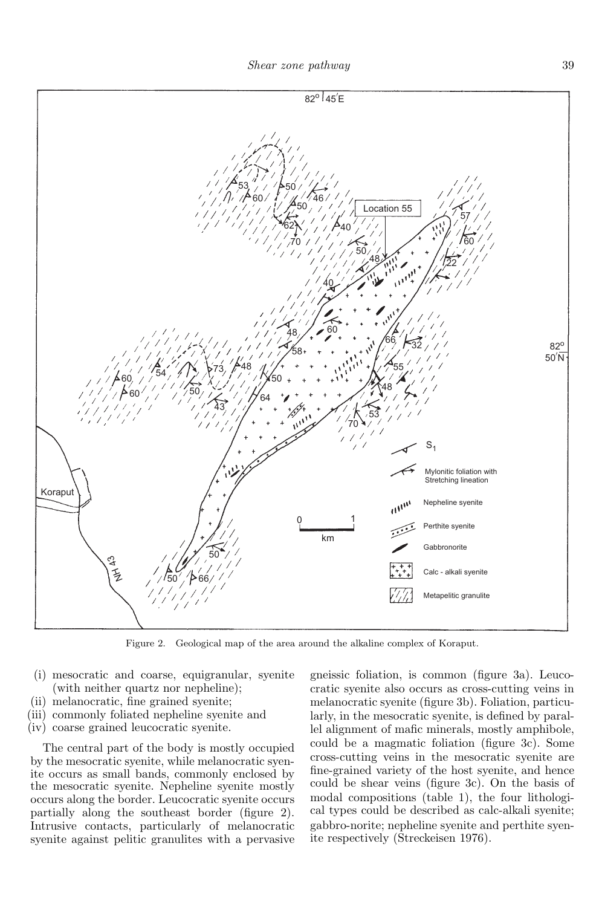

Figure 2. Geological map of the area around the alkaline complex of Koraput.

- (i) mesocratic and coarse, equigranular, syenite (with neither quartz nor nepheline);
- (ii) melanocratic, fine grained syenite;
- (iii) commonly foliated nepheline syenite and
- (iv) coarse grained leucocratic syenite.

The central part of the body is mostly occupied by the mesocratic syenite, while melanocratic syenite occurs as small bands, commonly enclosed by the mesocratic syenite. Nepheline syenite mostly occurs along the border. Leucocratic syenite occurs partially along the southeast border (figure 2). Intrusive contacts, particularly of melanocratic syenite against pelitic granulites with a pervasive gneissic foliation, is common (figure 3a). Leucocratic syenite also occurs as cross-cutting veins in melanocratic syenite (figure 3b). Foliation, particularly, in the mesocratic syenite, is defined by parallel alignment of mafic minerals, mostly amphibole, could be a magmatic foliation (figure 3c). Some cross-cutting veins in the mesocratic syenite are fine-grained variety of the host syenite, and hence could be shear veins (figure 3c). On the basis of modal compositions (table 1), the four lithological types could be described as calc-alkali syenite; gabbro-norite; nepheline syenite and perthite syenite respectively (Streckeisen 1976).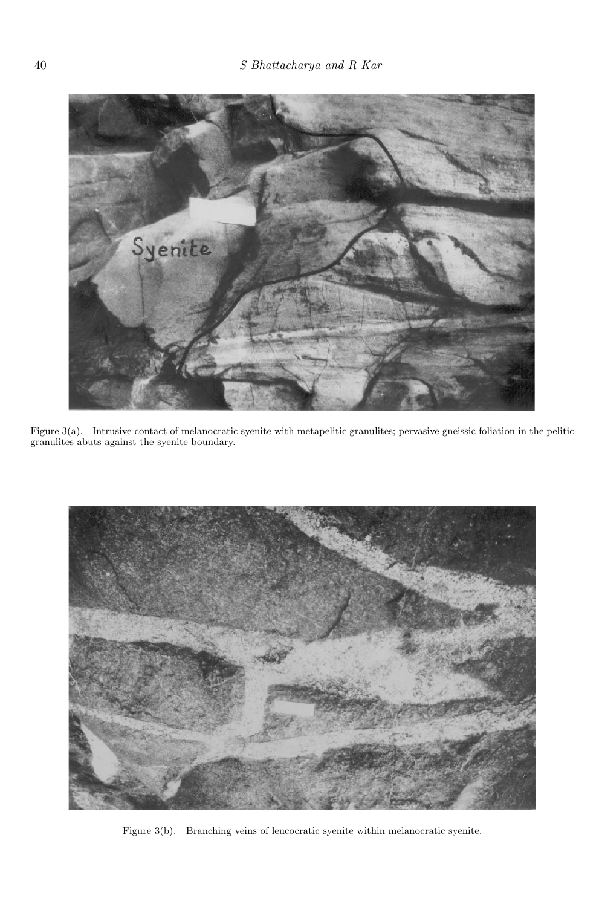

Figure 3(a). Intrusive contact of melanocratic syenite with metapelitic granulites; pervasive gneissic foliation in the pelitic granulites abuts against the syenite boundary.



Figure 3(b). Branching veins of leucocratic syenite within melanocratic syenite.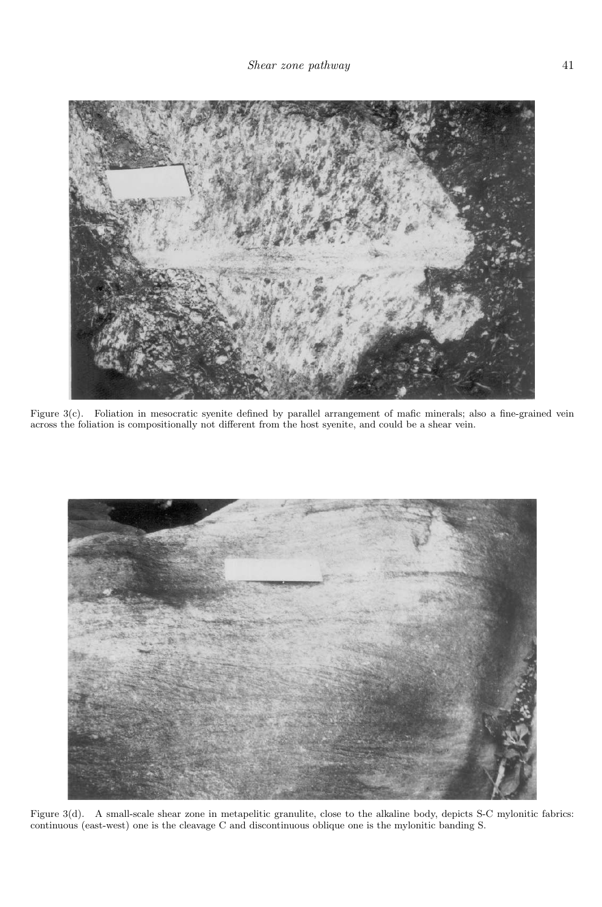

Figure 3(c). Foliation in mesocratic syenite defined by parallel arrangement of mafic minerals; also a fine-grained vein across the foliation is compositionally not different from the host syenite, and could be a shear vein.



Figure 3(d). A small-scale shear zone in metapelitic granulite, close to the alkaline body, depicts S-C mylonitic fabrics: continuous (east-west) one is the cleavage C and discontinuous oblique one is the mylonitic banding S.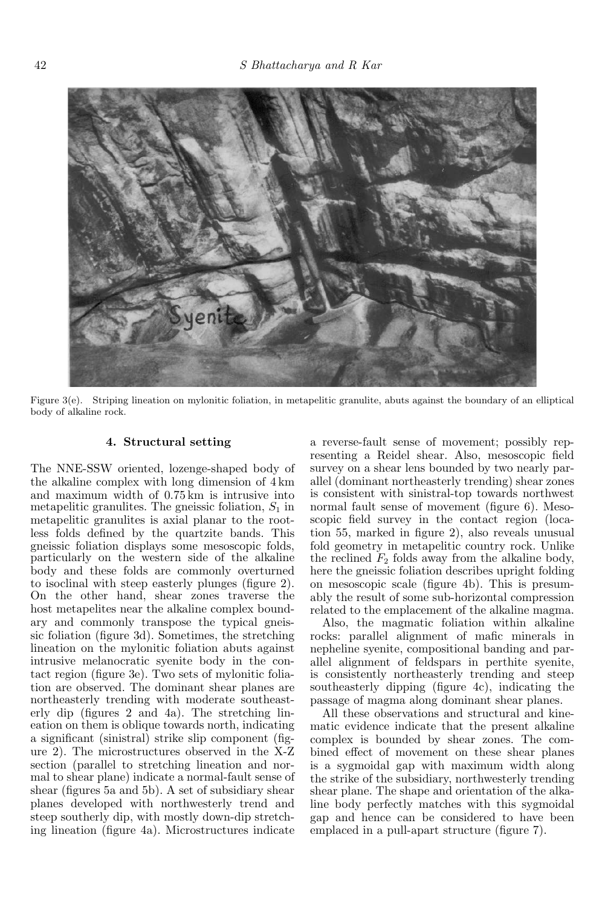

Figure  $3(e)$ . Striping lineation on mylonitic foliation, in metapelitic granulite, abuts against the boundary of an elliptical body of alkaline rock.

## 4. Structural setting

The NNE-SSW oriented, lozenge-shaped body of the alkaline complex with long dimension of 4 km and maximum width of 0.75 km is intrusive into metapelitic granulites. The gneissic foliation,  $S_1$  in metapelitic granulites is axial planar to the rootless folds defined by the quartzite bands. This gneissic foliation displays some mesoscopic folds, particularly on the western side of the alkaline body and these folds are commonly overturned to isoclinal with steep easterly plunges (figure 2). On the other hand, shear zones traverse the host metapelites near the alkaline complex boundary and commonly transpose the typical gneissic foliation (figure 3d). Sometimes, the stretching lineation on the mylonitic foliation abuts against intrusive melanocratic syenite body in the contact region (figure 3e). Two sets of mylonitic foliation are observed. The dominant shear planes are northeasterly trending with moderate southeasterly dip (figures 2 and 4a). The stretching lineation on them is oblique towards north, indicating a significant (sinistral) strike slip component (figure 2). The microstructures observed in the X-Z section (parallel to stretching lineation and normal to shear plane) indicate a normal-fault sense of shear (figures 5a and 5b). A set of subsidiary shear planes developed with northwesterly trend and steep southerly dip, with mostly down-dip stretching lineation (figure 4a). Microstructures indicate

a reverse-fault sense of movement; possibly representing a Reidel shear. Also, mesoscopic field survey on a shear lens bounded by two nearly parallel (dominant northeasterly trending) shear zones is consistent with sinistral-top towards northwest normal fault sense of movement (figure 6). Mesoscopic field survey in the contact region (location 55, marked in figure 2), also reveals unusual fold geometry in metapelitic country rock. Unlike the reclined  $F_2$  folds away from the alkaline body, here the gneissic foliation describes upright folding on mesoscopic scale (figure 4b). This is presumably the result of some sub-horizontal compression related to the emplacement of the alkaline magma.

Also, the magmatic foliation within alkaline rocks: parallel alignment of mafic minerals in nepheline syenite, compositional banding and parallel alignment of feldspars in perthite syenite, is consistently northeasterly trending and steep southeasterly dipping (figure 4c), indicating the passage of magma along dominant shear planes.

All these observations and structural and kinematic evidence indicate that the present alkaline complex is bounded by shear zones. The combined effect of movement on these shear planes is a sygmoidal gap with maximum width along the strike of the subsidiary, northwesterly trending shear plane. The shape and orientation of the alkaline body perfectly matches with this sygmoidal gap and hence can be considered to have been emplaced in a pull-apart structure (figure 7).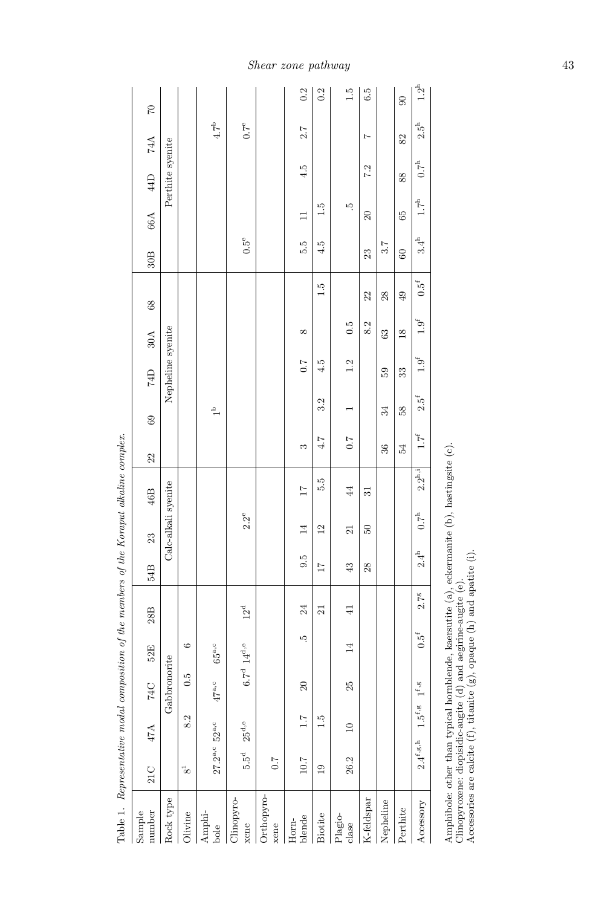|                    |                       |                 |                     | la suana dell'               |                 |                  | ļ                   |                 | ֧֧֢ׅ֧֦֧֦֧֦֧֧֘֝֘֝֘֝<br>֧֪֪֪֪֖֧֖֖֧֚֚֚֚֚֚֚֚֚֚֝<br>֧ |                           |                   |                |               |         |               |                  |                        |                    |
|--------------------|-----------------------|-----------------|---------------------|------------------------------|-----------------|------------------|---------------------|-----------------|--------------------------------------------------|---------------------------|-------------------|----------------|---------------|---------|---------------|------------------|------------------------|--------------------|
| number<br>Sample   | 21C                   | $47\mbox{\AA}$  | 74C                 | 52E                          | 28B             | 54B              | 23                  | 46B             | 22                                               | 69                        | 74D               | $30\mbox{\AA}$ | 68            | 30B     | 66A           | 44D              | $\mathcal{C}$<br>$74A$ |                    |
| Rock type          |                       |                 | Gabbronorite        |                              |                 |                  | Calc-alkali syenite |                 |                                                  |                           | Nepheline syenite |                |               |         |               | Perthite syenite |                        |                    |
| Olivine            | 8 <sup>1</sup>        | 8.2             | $\ddot{0}$          | $\circ$                      |                 |                  |                     |                 |                                                  |                           |                   |                |               |         |               |                  |                        |                    |
| Amphi-<br>bole     | $27.2^{a,c} 52^{a,c}$ |                 | $47^{\mathrm{a,c}}$ | $65^{\rm a,c}$               |                 |                  |                     |                 |                                                  | $\mathbf{1}^{\mathbf{b}}$ |                   |                |               |         |               |                  | $4.7^{\rm b}$          |                    |
| Clinopyro-<br>xene | 5.5 <sup>d</sup>      | $25^{\rm d,e}$  |                     | $6.7^{\rm d}$ $14^{\rm d,e}$ | 12 <sup>d</sup> |                  | $2.2^e$             |                 |                                                  |                           |                   |                |               | $0.5^e$ |               |                  | $0.7^{\circ}$          |                    |
| Orthopyro-<br>xene | 7.0                   |                 |                     |                              |                 |                  |                     |                 |                                                  |                           |                   |                |               |         |               |                  |                        |                    |
| blende<br>Horn-    | $10.7\,$              | 1.7             | $\overline{20}$     | r.                           | 24              | $9.\overline{5}$ | 14                  | 11              | S                                                |                           | 7.0               | $\infty$       |               | 5.5     | $\Box$        | 4.5              | 2.7                    | 0.2                |
| <b>Biotite</b>     | 19                    | 1.5             |                     |                              | $\overline{21}$ | $\overline{11}$  | $^{12}$             | 5.5             | 4.7                                              | 3.2                       | 4.5               |                | $\frac{5}{1}$ | 4.5     | $\ddot{1}$    |                  |                        | 0.2                |
| Plagio-<br>clase   | 26.2                  | $\overline{10}$ | 25                  | $\overline{14}$              | $\exists$       | 43               | $\overline{21}$     | 44              | 7.0                                              | $\overline{ }$            | 1.2               | $\ddot{c}$     |               |         | ŗ.            |                  |                        | 1.5                |
| K-feldspar         |                       |                 |                     |                              |                 | 28               | BG.                 | $\overline{3}$  |                                                  |                           |                   | 8.2            | 22            | 23      | $\Omega$      | 7.2              | $\overline{1}$         | 6.5                |
| Nepheline          |                       |                 |                     |                              |                 |                  |                     |                 | 36                                               | 34                        | 59                | 63             | 28            | 3.7     |               |                  |                        |                    |
| Perthite           |                       |                 |                     |                              |                 |                  |                     |                 | 54                                               | 58                        | 33                | 18             | 49            | $^{60}$ | 65            | 88               | 82                     | $\overline{6}$     |
| Accessory          | $2.4^{\rm f,g,h}$     | $1.5^{f,g}$     | $1f$ ,g             | $0.5^{\rm f}$                | 2.78            | $2.4^{\rm h}$    | $0.7^{\rm h}$       | $2.2^{\rm h,i}$ | $1.7^{\rm f}$                                    | 2.5 <sup>f</sup>          | $1.9^{\rm f}$     | $1.9^{\rm f}$  | $0.5^{\rm f}$ | $3.4^h$ | $1.7^{\rm h}$ | $0.7^{\rm h}$    | $2.5^{\rm h}$          | $1.2^{\mathrm{h}}$ |
|                    |                       |                 |                     |                              |                 |                  |                     |                 |                                                  |                           |                   |                |               |         |               |                  |                        |                    |

Table 1. Representative modal composition of the members of the Koraput alkaline complex. Table 1. Representative modal composition of the members of the Koraput alkaline complex.

Amphibole: other than typical hornblende, kaersutite (a), eckermanite (b), hastingsite (c).<br>Clinopyroxene: diopisidic-augite (d) and aegirine-augite (e).<br>Accessories are calcite (f), titanite (g), opaque (h) and apatite ( Amphibole: other than typical hornblende, kaersutite (a), eckermanite (b), hastingsite (c). Clinopyroxene: diopisidic-augite (d) and aegirine-augite (e).

Accessories are calcite  $(f)$ , titanite  $(g)$ , opaque  $(h)$  and apatite  $(i)$ .

## *Shear zone pathway* 43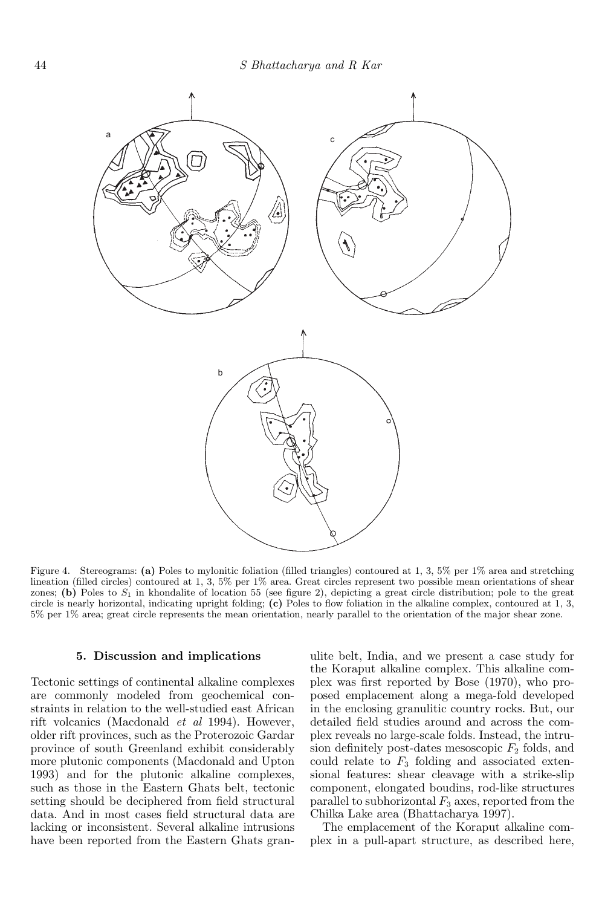

Figure 4. Stereograms: (a) Poles to mylonitic foliation (filled triangles) contoured at 1, 3, 5% per 1% area and stretching lineation (filled circles) contoured at 1, 3, 5% per 1% area. Great circles represent two possible mean orientations of shear zones; (b) Poles to  $S_1$  in khondalite of location 55 (see figure 2), depicting a great circle distribution; pole to the great circle is nearly horizontal, indicating upright folding; (c) Poles to flow foliation in the alkaline complex, contoured at 1, 3, 5% per 1% area; great circle represents the mean orientation, nearly parallel to the orientation of the major shear zone.

### 5. Discussion and implications

Tectonic settings of continental alkaline complexes are commonly modeled from geochemical constraints in relation to the well-studied east African rift volcanics (Macdonald *et al* 1994). However, older rift provinces, such as the Proterozoic Gardar province of south Greenland exhibit considerably more plutonic components (Macdonald and Upton 1993) and for the plutonic alkaline complexes, such as those in the Eastern Ghats belt, tectonic setting should be deciphered from field structural data. And in most cases field structural data are lacking or inconsistent. Several alkaline intrusions have been reported from the Eastern Ghats gran-

ulite belt, India, and we present a case study for the Koraput alkaline complex. This alkaline complex was first reported by Bose (1970), who proposed emplacement along a mega-fold developed in the enclosing granulitic country rocks. But, our detailed field studies around and across the complex reveals no large-scale folds. Instead, the intrusion definitely post-dates mesoscopic  $F_2$  folds, and could relate to  $F_3$  folding and associated extensional features: shear cleavage with a strike-slip component, elongated boudins, rod-like structures parallel to subhorizontal  $F_3$  axes, reported from the Chilka Lake area (Bhattacharya 1997).

The emplacement of the Koraput alkaline complex in a pull-apart structure, as described here,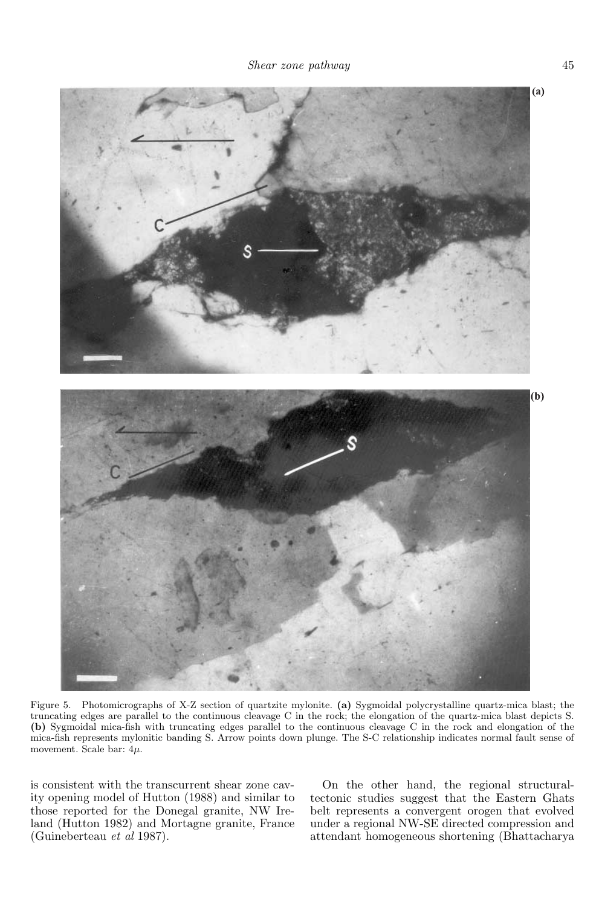

Figure 5. Photomicrographs of X-Z section of quartzite mylonite. (a) Sygmoidal polycrystalline quartz-mica blast; the truncating edges are parallel to the continuous cleavage C in the rock; the elongation of the quartz-mica blast depicts S. (b) Sygmoidal mica-fish with truncating edges parallel to the continuous cleavage C in the rock and elongation of the mica-fish represents mylonitic banding S. Arrow points down plunge. The S-C relationship indicates normal fault sense of movement. Scale bar:  $4\mu$ .

is consistent with the transcurrent shear zone cavity opening model of Hutton (1988) and similar to those reported for the Donegal granite, NW Ireland (Hutton 1982) and Mortagne granite, France (Guineberteau *et al* 1987).

On the other hand, the regional structuraltectonic studies suggest that the Eastern Ghats belt represents a convergent orogen that evolved under a regional NW-SE directed compression and attendant homogeneous shortening (Bhattacharya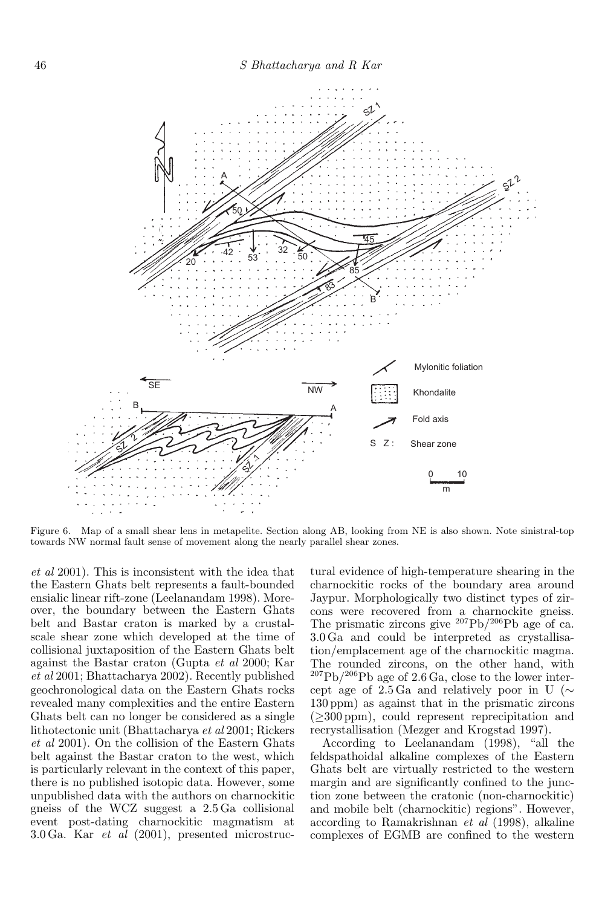

Figure 6. Map of a small shear lens in metapelite. Section along AB, looking from NE is also shown. Note sinistral-top towards NW normal fault sense of movement along the nearly parallel shear zones.

*et al* 2001). This is inconsistent with the idea that the Eastern Ghats belt represents a fault-bounded ensialic linear rift-zone (Leelanandam 1998). Moreover, the boundary between the Eastern Ghats belt and Bastar craton is marked by a crustalscale shear zone which developed at the time of collisional juxtaposition of the Eastern Ghats belt against the Bastar craton (Gupta *et al* 2000; Kar *et al* 2001; Bhattacharya 2002). Recently published geochronological data on the Eastern Ghats rocks revealed many complexities and the entire Eastern Ghats belt can no longer be considered as a single lithotectonic unit (Bhattacharya *et al* 2001; Rickers *et al* 2001). On the collision of the Eastern Ghats belt against the Bastar craton to the west, which is particularly relevant in the context of this paper, there is no published isotopic data. However, some unpublished data with the authors on charnockitic gneiss of the WCZ suggest a 2.5 Ga collisional event post-dating charnockitic magmatism at 3.0 Ga. Kar *et al* (2001), presented microstruc-

tural evidence of high-temperature shearing in the charnockitic rocks of the boundary area around Jaypur. Morphologically two distinct types of zircons were recovered from a charnockite gneiss. The prismatic zircons give  $\frac{207 \text{Pb}}{206 \text{Pb}}$  age of ca. 3.0 Ga and could be interpreted as crystallisation/emplacement age of the charnockitic magma. The rounded zircons, on the other hand, with  $^{207}Pb/^{206}Pb$  age of 2.6 Ga, close to the lower intercept age of 2.5 Ga and relatively poor in U ( $\sim$ 130 ppm) as against that in the prismatic zircons  $(\geq 300 \,\mathrm{ppm})$ , could represent reprecipitation and recrystallisation (Mezger and Krogstad 1997).

According to Leelanandam (1998), "all the feldspathoidal alkaline complexes of the Eastern Ghats belt are virtually restricted to the western margin and are significantly confined to the junction zone between the cratonic (non-charnockitic) and mobile belt (charnockitic) regions". However, according to Ramakrishnan *et al* (1998), alkaline complexes of EGMB are confined to the western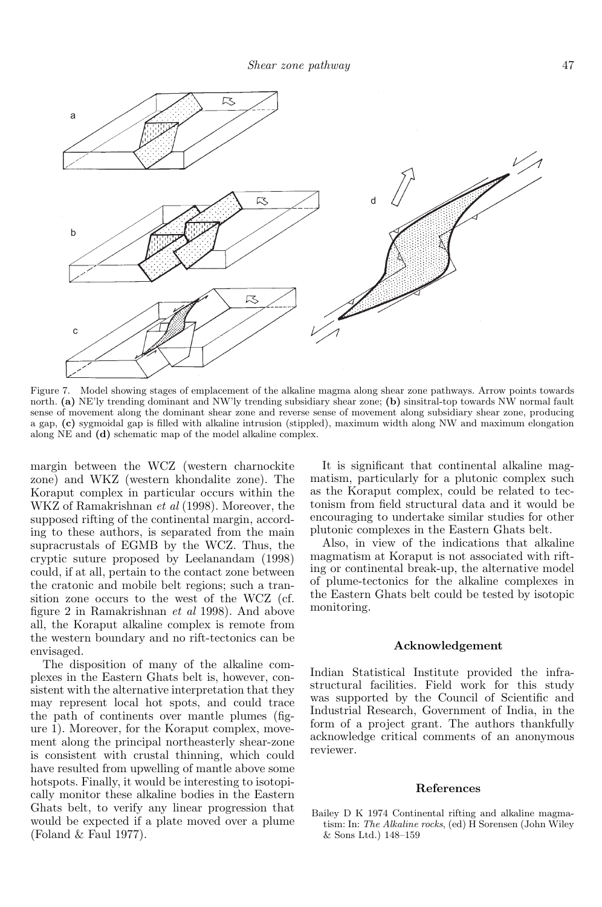

Figure 7. Model showing stages of emplacement of the alkaline magma along shear zone pathways. Arrow points towards north. (a) NE'ly trending dominant and NW'ly trending subsidiary shear zone; (b) sinsitral-top towards NW normal fault sense of movement along the dominant shear zone and reverse sense of movement along subsidiary shear zone, producing a gap, (c) sygmoidal gap is filled with alkaline intrusion (stippled), maximum width along NW and maximum elongation along NE and (d) schematic map of the model alkaline complex.

margin between the WCZ (western charnockite zone) and WKZ (western khondalite zone). The Koraput complex in particular occurs within the WKZ of Ramakrishnan *et al* (1998). Moreover, the supposed rifting of the continental margin, according to these authors, is separated from the main supracrustals of EGMB by the WCZ. Thus, the cryptic suture proposed by Leelanandam (1998) could, if at all, pertain to the contact zone between the cratonic and mobile belt regions; such a transition zone occurs to the west of the WCZ (cf. figure 2 in Ramakrishnan *et al* 1998). And above all, the Koraput alkaline complex is remote from the western boundary and no rift-tectonics can be envisaged.

The disposition of many of the alkaline complexes in the Eastern Ghats belt is, however, consistent with the alternative interpretation that they may represent local hot spots, and could trace the path of continents over mantle plumes (figure 1). Moreover, for the Koraput complex, movement along the principal northeasterly shear-zone is consistent with crustal thinning, which could have resulted from upwelling of mantle above some hotspots. Finally, it would be interesting to isotopically monitor these alkaline bodies in the Eastern Ghats belt, to verify any linear progression that would be expected if a plate moved over a plume (Foland & Faul 1977).

It is significant that continental alkaline magmatism, particularly for a plutonic complex such as the Koraput complex, could be related to tectonism from field structural data and it would be encouraging to undertake similar studies for other plutonic complexes in the Eastern Ghats belt.

Also, in view of the indications that alkaline magmatism at Koraput is not associated with rifting or continental break-up, the alternative model of plume-tectonics for the alkaline complexes in the Eastern Ghats belt could be tested by isotopic monitoring.

#### Acknowledgement

Indian Statistical Institute provided the infrastructural facilities. Field work for this study was supported by the Council of Scientific and Industrial Research, Government of India, in the form of a project grant. The authors thankfully acknowledge critical comments of an anonymous reviewer.

## References

Bailey D K 1974 Continental rifting and alkaline magmatism: In: The Alkaline rocks, (ed) H Sorensen (John Wiley & Sons Ltd.) 148–159